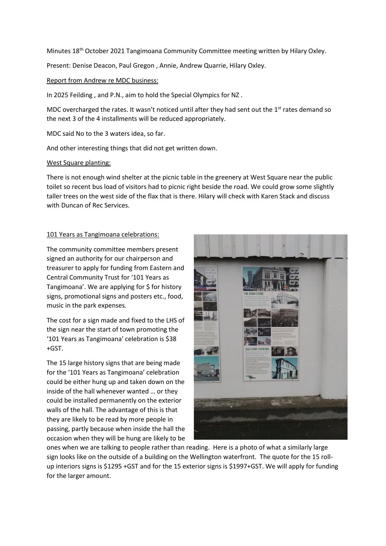Minutes 18<sup>th</sup> October 2021 Tangimoana Community Committee meeting written by Hilary Oxley.

Present: Denise Deacon, Paul Gregon , Annie, Andrew Quarrie, Hilary Oxley.

#### Report from Andrew re MDC business:

In 2025 Feilding , and P.N., aim to hold the Special Olympics for NZ .

MDC overcharged the rates. It wasn't noticed until after they had sent out the  $1<sup>st</sup>$  rates demand so the next 3 of the 4 installments will be reduced appropriately.

MDC said No to the 3 waters idea, so far.

And other interesting things that did not get written down.

#### West Square planting:

There is not enough wind shelter at the picnic table in the greenery at West Square near the public toilet so recent bus load of visitors had to picnic right beside the road. We could grow some slightly taller trees on the west side of the flax that is there. Hilary will check with Karen Stack and discuss with Duncan of Rec Services.

## 101 Years as Tangimoana celebrations:

The community committee members present signed an authority for our chairperson and treasurer to apply for funding from Eastern and Central Community Trust for '101 Years as Tangimoana'. We are applying for \$ for history signs, promotional signs and posters etc., food, music in the park expenses.

The cost for a sign made and fixed to the LHS of the sign near the start of town promoting the '101 Years as Tangimoana' celebration is \$38 +GST.

The 15 large history signs that are being made for the '101 Years as Tangimoana' celebration could be either hung up and taken down on the inside of the hall whenever wanted … or they could be installed permanently on the exterior walls of the hall. The advantage of this is that they are likely to be read by more people in passing, partly because when inside the hall the occasion when they will be hung are likely to be



ones when we are talking to people rather than reading. Here is a photo of what a similarly large sign looks like on the outside of a building on the Wellington waterfront. The quote for the 15 rollup interiors signs is \$1295 +GST and for the 15 exterior signs is \$1997+GST. We will apply for funding for the larger amount.